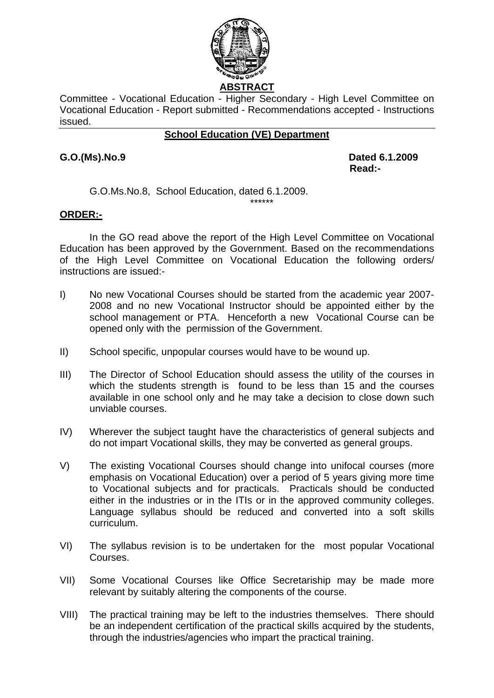

**ABSTRACT** 

Committee - Vocational Education - Higher Secondary - High Level Committee on Vocational Education - Report submitted - Recommendations accepted - Instructions issued.

## **School Education (VE) Department**

**G.O.(Ms).No.9 Dated 6.1.2009 Read:-**  $\blacksquare$  Read:-

G.O.Ms.No.8, School Education, dated 6.1.2009.

## **ORDER:-**

In the GO read above the report of the High Level Committee on Vocational Education has been approved by the Government. Based on the recommendations of the High Level Committee on Vocational Education the following orders/ instructions are issued:-

\*\*\*\*\*\*

- I) No new Vocational Courses should be started from the academic year 2007- 2008 and no new Vocational Instructor should be appointed either by the school management or PTA. Henceforth a new Vocational Course can be opened only with the permission of the Government.
- II) School specific, unpopular courses would have to be wound up.
- III) The Director of School Education should assess the utility of the courses in which the students strength is found to be less than 15 and the courses available in one school only and he may take a decision to close down such unviable courses.
- IV) Wherever the subject taught have the characteristics of general subjects and do not impart Vocational skills, they may be converted as general groups.
- V) The existing Vocational Courses should change into unifocal courses (more emphasis on Vocational Education) over a period of 5 years giving more time to Vocational subjects and for practicals. Practicals should be conducted either in the industries or in the ITIs or in the approved community colleges. Language syllabus should be reduced and converted into a soft skills curriculum.
- VI) The syllabus revision is to be undertaken for the most popular Vocational Courses.
- VII) Some Vocational Courses like Office Secretariship may be made more relevant by suitably altering the components of the course.
- VIII) The practical training may be left to the industries themselves. There should be an independent certification of the practical skills acquired by the students, through the industries/agencies who impart the practical training.